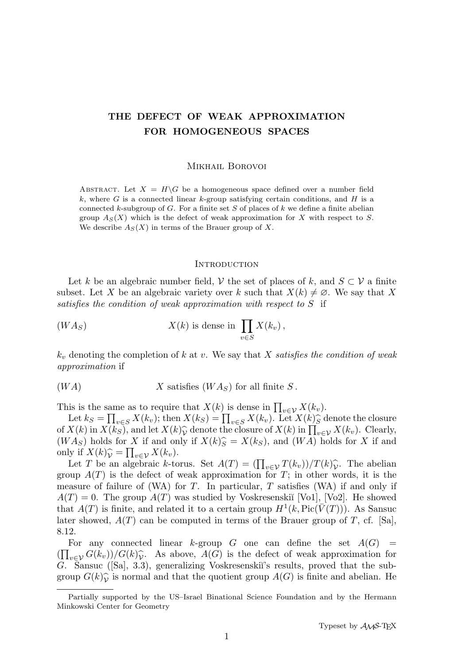# THE DEFECT OF WEAK APPROXIMATION FOR HOMOGENEOUS SPACES

#### Mikhail Borovoi

ABSTRACT. Let  $X = H\backslash G$  be a homogeneous space defined over a number field k, where G is a connected linear k-group satisfying certain conditions, and H is a connected k-subgroup of  $G$ . For a finite set  $S$  of places of  $k$  we define a finite abelian group  $A_S(X)$  which is the defect of weak approximation for X with respect to S. We describe  $A_S(X)$  in terms of the Brauer group of X.

#### **INTRODUCTION**

Let k be an algebraic number field, V the set of places of k, and  $S \subset V$  a finite subset. Let X be an algebraic variety over k such that  $X(k) \neq \emptyset$ . We say that X satisfies the condition of weak approximation with respect to S if

$$
(WAS) \tX(k) is dense in  $\prod_{v \in S} X(k_v)$ ,
$$

 $k_v$  denoting the completion of k at v. We say that X satisfies the condition of weak approximation if

$$
(WA) \tX satisfies (WAS) for all finite S.
$$

This is the same as to require that  $X(k)$  is dense in  $\prod_{v \in V} X(k_v)$ .

Let  $k_S = \prod_{v \in S} X(k_v)$ ; then  $X(k_S) = \prod_{v \in S} X(k_v)$ . Let  $X(k)$  denote the closure  $X(k)$  in  $X(k_v)$  and let  $X(k)$  denote the closure of  $X(k)$  in  $\Pi$   $X(k_v)$ . Clearly of  $X(k)$  in  $X(k_S)$ , and let  $X(k)$ <sup>0</sup> denote the closure of  $X(k)$  in  $\prod_{v \in V} X(k_v)$ . Clearly,<br>(*WA*<sub>2</sub>) holds for *X* if and only if  $X(k)$ <sup>2</sup> =  $X(k_S)$  and (*WA*) holds for *X* if and  $(W A_S)$  holds for X if and only if  $X(k)_{S}^{\frown} = X(k_S)$ , and  $(W A)$  holds for X if and only if  $X(k)_{\mathcal{V}}^{\frown} = \prod_{v \in \mathcal{V}} X(k_v)$ .<br>Let T be an algebraic k-to

Let T be an algebraic k-torus. Set  $A(T) = \left(\prod_{v \in \mathcal{V}} T(k_v)\right) / T(k) \hat{\mathcal{V}}$ . The abelian group  $A(T)$  is the defect of weak approximation for T; in other words, it is the measure of failure of (WA) for  $T$ . In particular,  $T$  satisfies (WA) if and only if  $A(T) = 0$ . The group  $A(T)$  was studied by Voskresenskiı̆ [Vo1], [Vo2]. He showed that  $A(T)$  is finite, and related it to a certain group  $H^1(k, Pic(\overline{V}(T)))$ . As Sansuc later showed,  $A(T)$  can be computed in terms of the Brauer group of T, cf. [Sa], 8.12.

For any connected linear k-group G one can define the set  $A(G)$  =  $(\prod_{v \in V} G(k_v))/G(k)_{V}^{\frown}$ . As above,  $A(G)$  is the defect of weak approximation for  $G$ . Sansue ([Sa] 3.3), concretizing Vockrosonskij's results, proved that the sub-G. Sansuc ([Sa], 3.3), generalizing Voskresenski<sup>'</sup>s results, proved that the subgroup  $G(k)_{\mathcal{V}}^{\frown}$  is normal and that the quotient group  $A(G)$  is finite and abelian. He

Partially supported by the US–Israel Binational Science Foundation and by the Hermann Minkowski Center for Geometry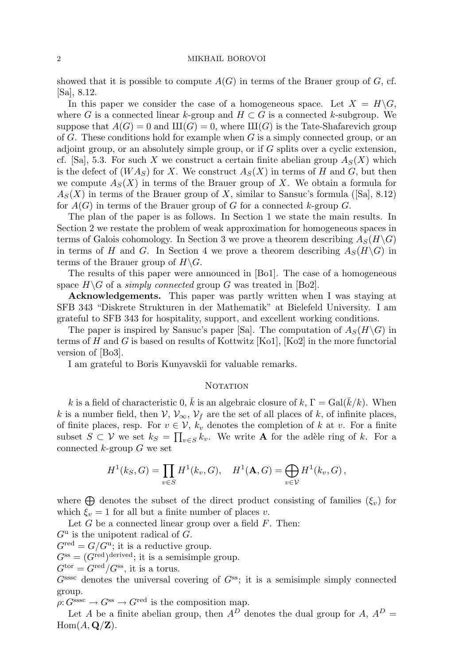showed that it is possible to compute  $A(G)$  in terms of the Brauer group of G, cf. [Sa], 8.12.

In this paper we consider the case of a homogeneous space. Let  $X = H\backslash G$ , where G is a connected linear k-group and  $H \subset G$  is a connected k-subgroup. We suppose that  $A(G) = 0$  and  $III(G) = 0$ , where  $III(G)$  is the Tate-Shafarevich group of G. These conditions hold for example when G is a simply connected group, or an adjoint group, or an absolutely simple group, or if G splits over a cyclic extension, cf. [Sa], 5.3. For such X we construct a certain finite abelian group  $A_S(X)$  which is the defect of  $(W A_S)$  for X. We construct  $A_S(X)$  in terms of H and G, but then we compute  $A_S(X)$  in terms of the Brauer group of X. We obtain a formula for  $A_S(X)$  in terms of the Brauer group of X, similar to Sansuc's formula ([Sa], 8.12) for  $A(G)$  in terms of the Brauer group of G for a connected k-group G.

The plan of the paper is as follows. In Section 1 we state the main results. In Section 2 we restate the problem of weak approximation for homogeneous spaces in terms of Galois cohomology. In Section 3 we prove a theorem describing  $A_S(H\backslash G)$ in terms of H and G. In Section 4 we prove a theorem describing  $A<sub>S</sub>(H\backslash G)$  in terms of the Brauer group of  $H\backslash G$ .

The results of this paper were announced in [Bo1]. The case of a homogeneous space  $H\backslash G$  of a *simply connected* group G was treated in [Bo2].

Acknowledgements. This paper was partly written when I was staying at SFB 343 "Diskrete Strukturen in der Mathematik" at Bielefeld University. I am grateful to SFB 343 for hospitality, support, and excellent working conditions.

The paper is inspired by Sansuc's paper [Sa]. The computation of  $A<sub>S</sub>(H\backslash G)$  in terms of H and G is based on results of Kottwitz  $[Ko1]$ ,  $[Ko2]$  in the more functorial version of [Bo3].

I am grateful to Boris Kunyavskii for valuable remarks.

#### **NOTATION**

k is a field of characteristic 0,  $\bar{k}$  is an algebraic closure of k,  $\Gamma = \text{Gal}(\bar{k}/k)$ . When k is a number field, then  $V, V_{\infty}, V_f$  are the set of all places of k, of infinite places, of finite places, resp. For  $v \in V$ ,  $k_v$  denotes the completion of k at v. For a finite subset  $S \subset \mathcal{V}$  we set  $k_S = \prod_{v \in S} k_v$ . We write **A** for the adèle ring of k. For a connected  $k$ -group  $G$  we set

$$
H^{1}(k_{S}, G) = \prod_{v \in S} H^{1}(k_{v}, G), \quad H^{1}(\mathbf{A}, G) = \bigoplus_{v \in V} H^{1}(k_{v}, G),
$$

where  $\bigoplus$  denotes the subset of the direct product consisting of families  $(\xi_v)$  for which  $\xi_v = 1$  for all but a finite number of places v.

Let  $G$  be a connected linear group over a field  $F$ . Then:

 $G^{\mathrm{u}}$  is the unipotent radical of G.

 $G^{\text{red}} = G/G^{\text{u}}$ ; it is a reductive group.

 $G^{\text{ss}} = (G^{\text{red}})^{\text{derived}}$ ; it is a semisimple group.

 $G^{\text{tor}} = G^{\text{red}} / G^{\text{ss}}$ , it is a torus.

 $G<sup>sssc</sup>$  denotes the universal covering of  $G<sup>ss</sup>$ ; it is a semisimple simply connected group.

 $\rho: G<sup>sssc</sup> \to G<sup>ss</sup> \to G<sup>red</sup>$  is the composition map.

Let A be a finite abelian group, then  $A^D$  denotes the dual group for A,  $A^D$  =  $Hom(A, \mathbf{Q}/\mathbf{Z}).$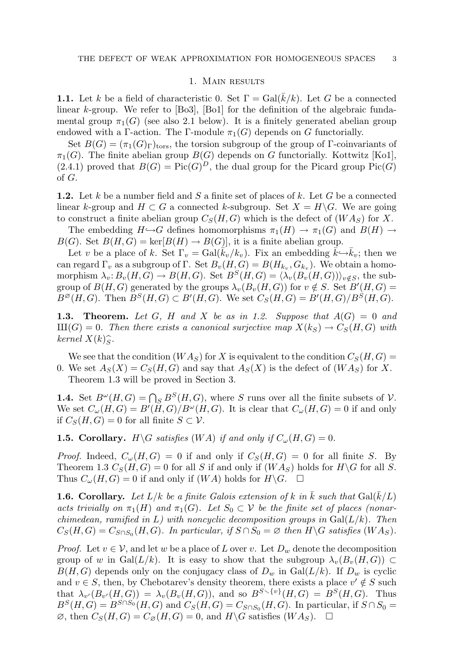#### 1. Main results

**1.1.** Let k be a field of characteristic 0. Set  $\Gamma = \text{Gal}(k/k)$ . Let G be a connected linear  $k$ -group. We refer to  $[Bo3]$ ,  $[Bo1]$  for the definition of the algebraic fundamental group  $\pi_1(G)$  (see also 2.1 below). It is a finitely generated abelian group endowed with a Γ-action. The Γ-module  $\pi_1(G)$  depends on G functorially.

Set  $B(G) = (\pi_1(G)_{\Gamma})_{\text{tors}}$ , the torsion subgroup of the group of Γ-coinvariants of  $\pi_1(G)$ . The finite abelian group  $B(G)$  depends on G functorially. Kottwitz [Ko1],  $(2.4.1)$  proved that  $B(G) = Pic(G)^{D}$ , the dual group for the Picard group Pic $(G)$ of G.

**1.2.** Let k be a number field and S a finite set of places of k. Let G be a connected linear k-group and  $H \subset G$  a connected k-subgroup. Set  $X = H\backslash G$ . We are going to construct a finite abelian group  $C_S(H, G)$  which is the defect of  $(W A_S)$  for X.

The embedding  $H \hookrightarrow G$  defines homomorphisms  $\pi_1(H) \to \pi_1(G)$  and  $B(H) \to$  $B(G)$ . Set  $B(H, G) = \text{ker}[B(H) \to B(G)]$ , it is a finite abelian group.

Let v be a place of k. Set  $\Gamma_v = \text{Gal}(\bar{k}_v/k_v)$ . Fix an embedding  $\bar{k} \hookrightarrow \bar{k}_v$ ; then we can regard  $\Gamma_v$  as a subgroup of  $\Gamma$ . Set  $B_v(H,G) = B(H_{k_v}, G_{k_v})$ . We obtain a homomorphism  $\lambda_v: B_v(H, G) \to B(H, G)$ . Set  $B^S(H, G) = \langle \lambda_v(B_v(H, G)) \rangle_{v \notin S}$ , the subgroup of  $B(H, G)$  generated by the groups  $\lambda_v(B_v(H, G))$  for  $v \notin S$ . Set  $B'(H, G)$  =  $B^{\varnothing}(H,G)$ . Then  $B^S(H,G) \subset B'(H,G)$ . We set  $C_S(H,G) = B'(H,G)/B^S(H,G)$ .

**1.3. Theorem.** Let G, H and X be as in 1.2. Suppose that  $A(G) = 0$  and  $\text{III}(G) = 0$ . Then there exists a canonical surjective map  $X(k_S) \to C_S(H, G)$  with  $k$ ernel  $X(k)_{S}^{\frown}$ .

We see that the condition  $(W A_S)$  for X is equivalent to the condition  $C_S(H, G)$ 0. We set  $A_S(X) = C_S(H, G)$  and say that  $A_S(X)$  is the defect of  $(W A_S)$  for X. Theorem 1.3 will be proved in Section 3.

**1.4.** Set  $B^{\omega}(H, G) = \bigcap_{S} B^{S}(H, G)$ , where S runs over all the finite subsets of V. We set  $C_{\omega}(H, G) = B'(\tilde{H}, G)/B^{\omega}(H, G)$ . It is clear that  $C_{\omega}(H, G) = 0$  if and only if  $C_S(H, G) = 0$  for all finite  $S \subset \mathcal{V}$ .

**1.5. Corollary.**  $H \ G$  satisfies  $(W A)$  if and only if  $C_{\omega}(H, G) = 0$ .

*Proof.* Indeed,  $C_{\omega}(H, G) = 0$  if and only if  $C_S(H, G) = 0$  for all finite S. By Theorem 1.3  $C_S(H, G) = 0$  for all S if and only if  $(W A_S)$  holds for  $H \backslash G$  for all S. Thus  $C_{\omega}(H, G) = 0$  if and only if  $(W A)$  holds for  $H \backslash G$ .  $\square$ 

**1.6. Corollary.** Let  $L/k$  be a finite Galois extension of k in  $\bar{k}$  such that  $Gal(\bar{k}/L)$ acts trivially on  $\pi_1(H)$  and  $\pi_1(G)$ . Let  $S_0 \subset V$  be the finite set of places (nonarchimedean, ramified in L) with noncyclic decomposition groups in  $Gal(L/k)$ . Then  $C_S(H, G) = C_{S \cap S_0}(H, G)$ . In particular, if  $S \cap S_0 = \varnothing$  then  $H \backslash G$  satisfies  $(W A_S)$ .

*Proof.* Let  $v \in V$ , and let w be a place of L over v. Let  $D_w$  denote the decomposition group of w in Gal( $L/k$ ). It is easy to show that the subgroup  $\lambda_v(B_v(H, G)) \subset$  $B(H, G)$  depends only on the conjugacy class of  $D_w$  in  $Gal(L/k)$ . If  $D_w$  is cyclic and  $v \in S$ , then, by Chebotarev's density theorem, there exists a place  $v' \notin S$  such that  $\lambda_{v'}(B_{v'}(H,G)) = \lambda_v(B_v(H,G))$ , and so  $B^{S \setminus \{v\}}(H,G) = B^S(H,G)$ . Thus  $B^S(H, G) = B^{S \cap S_0}(H, G)$  and  $C_S(H, G) = C_{S \cap S_0}(H, G)$ . In particular, if  $S \cap S_0 =$  $\varnothing$ , then  $C_S(H, G) = C_{\varnothing}(H, G) = 0$ , and  $H \backslash G$  satisfies  $(W A_S)$ .  $\Box$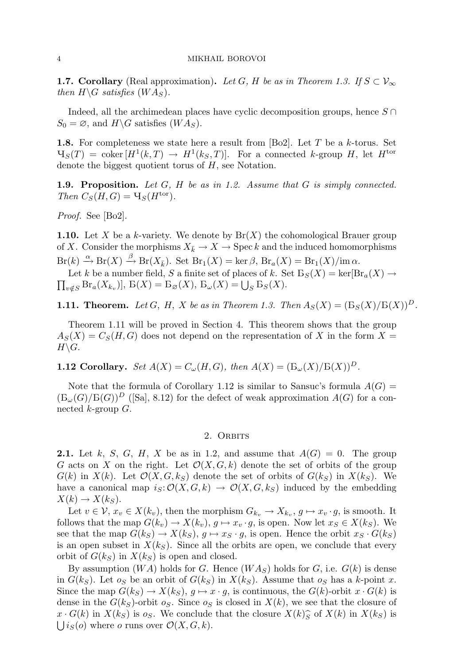**1.7. Corollary** (Real approximation). Let G, H be as in Theorem 1.3. If  $S \subset V_{\infty}$ then  $H\backslash G$  satisfies  $(W A_S)$ .

Indeed, all the archimedean places have cyclic decomposition groups, hence  $S \cap$  $S_0 = \emptyset$ , and  $H \backslash G$  satisfies  $(W A_S)$ .

**1.8.** For completeness we state here a result from [Bo2]. Let  $T$  be a  $k$ -torus. Set  $\mathcal{H}_S(T) = \text{coker}\left[H^1(k,T) \to H^1(k_S,T)\right]$ . For a connected k-group H, let  $H^{\text{tor}}$ denote the biggest quotient torus of  $H$ , see Notation.

**1.9. Proposition.** Let  $G$ ,  $H$  be as in 1.2. Assume that  $G$  is simply connected. Then  $C_S(H, G) = \mathcal{H}_S(H^{\text{tor}})$ .

Proof. See [Bo2].

**1.10.** Let X be a k-variety. We denote by  $Br(X)$  the cohomological Brauer group of X. Consider the morphisms  $X_{\bar{k}} \to X \to \text{Spec } k$  and the induced homomorphisms

 $\mathrm{Br}(k) \stackrel{\alpha}{\to} \mathrm{Br}(X) \stackrel{\beta}{\to} \mathrm{Br}(X_{\bar{k}}).$  Set  $\mathrm{Br}_1(X) = \ker \beta$ ,  $\mathrm{Br}_a(X) = \mathrm{Br}_1(X)/\mathrm{im}\,\alpha$ .  $\prod_{v \notin S} \text{Br}_a(X_{k_v})$ ,  $B(X) = B_{\varnothing}(X)$ ,  $B_{\omega}(X) = \bigcup_S B_S(X)$ . Let k be a number field, S a finite set of places of k. Set  $B_S(X) = \text{ker}[\text{Br}_a(X) \rightarrow$ 

**1.11. Theorem.** Let G, H, X be as in Theorem 1.3. Then  $A_S(X) = (B_S(X)/B(X))^D$ .

Theorem 1.11 will be proved in Section 4. This theorem shows that the group  $A_S(X) = C_S(H, G)$  does not depend on the representation of X in the form  $X =$  $H\backslash G$ .

1.12 Corollary. Set  $A(X) = C_{\omega}(H, G)$ , then  $A(X) = (E_{\omega}(X)/E(X))^D$ .

Note that the formula of Corollary 1.12 is similar to Sansuc's formula  $A(G)$  =  $(\mathcal{B}_{\omega}(G)/\mathcal{B}(G))^D$  ([Sa], 8.12) for the defect of weak approximation  $A(G)$  for a connected  $k$ -group  $G$ .

## 2. ORBITS

**2.1.** Let k, S, G, H, X be as in 1.2, and assume that  $A(G) = 0$ . The group G acts on X on the right. Let  $\mathcal{O}(X, G, k)$  denote the set of orbits of the group  $G(k)$  in  $X(k)$ . Let  $\mathcal{O}(X, G, k_S)$  denote the set of orbits of  $G(k_S)$  in  $X(k_S)$ . We have a canonical map  $i_S: \mathcal{O}(X, G, k) \to \mathcal{O}(X, G, k_S)$  induced by the embedding  $X(k) \to X(k_S)$ .

Let  $v \in \mathcal{V}$ ,  $x_v \in X(k_v)$ , then the morphism  $G_{k_v} \to X_{k_v}$ ,  $g \mapsto x_v \cdot g$ , is smooth. It follows that the map  $G(k_v) \to X(k_v)$ ,  $g \mapsto x_v \cdot g$ , is open. Now let  $x_S \in X(k_S)$ . We see that the map  $G(k_S) \to X(k_S)$ ,  $g \mapsto x_S \cdot g$ , is open. Hence the orbit  $x_S \cdot G(k_S)$ is an open subset in  $X(k<sub>S</sub>)$ . Since all the orbits are open, we conclude that every orbit of  $G(k_S)$  in  $X(k_S)$  is open and closed.

By assumption  $(W A)$  holds for G. Hence  $(W A<sub>S</sub>)$  holds for G, i.e.  $G(k)$  is dense in  $G(k_S)$ . Let  $o_S$  be an orbit of  $G(k_S)$  in  $X(k_S)$ . Assume that  $o_S$  has a k-point x. Since the map  $G(k_S) \to X(k_S)$ ,  $q \mapsto x \cdot q$ , is continuous, the  $G(k)$ -orbit  $x \cdot G(k)$  is dense in the  $G(k_S)$ -orbit  $o_S$ . Since  $o_S$  is closed in  $X(k)$ , we see that the closure of  $x \cdot G(k)$  in  $X(k_S)$  is  $o_S$ . We conclude that the closure  $X(k)$  of  $X(k)$  in  $X(k_S)$  is  $\bigcup i_S(o)$  where *o* runs over  $\mathcal{O}(X, G, k)$ .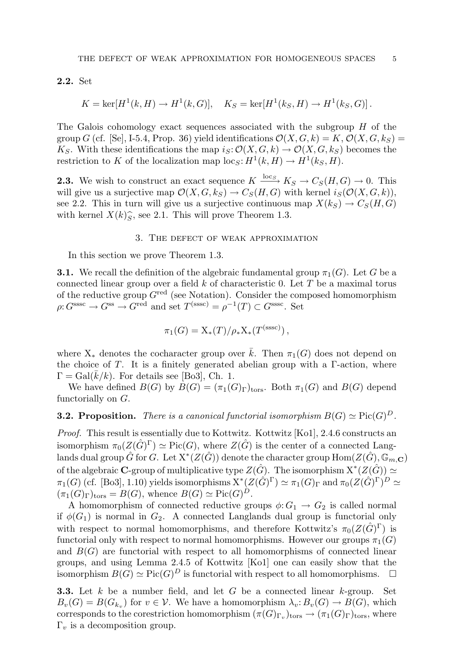2.2. Set

$$
K = \ker[H^{1}(k, H) \to H^{1}(k, G)], \quad K_{S} = \ker[H^{1}(k_{S}, H) \to H^{1}(k_{S}, G)].
$$

The Galois cohomology exact sequences associated with the subgroup  $H$  of the group G (cf. [Se], I-5.4, Prop. 36) yield identifications  $\mathcal{O}(X, G, k) = K$ ,  $\mathcal{O}(X, G, k_S) =$ K<sub>S</sub>. With these identifications the map  $i_S: \mathcal{O}(X, G, k) \to \mathcal{O}(X, G, k_S)$  becomes the restriction to K of the localization map  $\text{loc}_S: H^1(k, H) \to H^1(k_S, H)$ .

**2.3.** We wish to construct an exact sequence  $K \xrightarrow{\text{loc } S} K_S \to C_S(H, G) \to 0$ . This will give us a surjective map  $\mathcal{O}(X, G, k_S) \to C_S(H, G)$  with kernel  $i_S(\mathcal{O}(X, G, k)),$ see 2.2. This in turn will give us a surjective continuous map  $X(k_S) \to C_S(H, G)$ with kernel  $X(k)\hat{S}$ , see 2.1. This will prove Theorem 1.3.

### 3. The defect of weak approximation

In this section we prove Theorem 1.3.

**3.1.** We recall the definition of the algebraic fundamental group  $\pi_1(G)$ . Let G be a connected linear group over a field  $k$  of characteristic 0. Let  $T$  be a maximal torus of the reductive group  $G^{\text{red}}$  (see Notation). Consider the composed homomorphism  $\rho: G^{\text{sssc}} \to G^{\text{ss}} \to G^{\text{red}}$  and set  $T^{\text{(sssc)}} = \rho^{-1}(T) \subset G^{\text{sssc}}$ . Set

$$
\pi_1(G) = \mathrm{X}_*(T)/\rho_*\mathrm{X}_*(T^{\mathrm{(sssc)}}),
$$

where  $X_*$  denotes the cocharacter group over  $\overline{k}$ . Then  $\pi_1(G)$  does not depend on the choice of T. It is a finitely generated abelian group with a  $\Gamma$ -action, where  $\Gamma = \text{Gal}(k/k)$ . For details see [Bo3], Ch. 1.

We have defined  $B(G)$  by  $B(G) = (\pi_1(G)_{\Gamma})_{tors}$ . Both  $\pi_1(G)$  and  $B(G)$  depend functorially on G.

**3.2. Proposition.** There is a canonical functorial isomorphism  $B(G) \simeq Pic(G)^D$ .

Proof. This result is essentially due to Kottwitz. Kottwitz [Ko1], 2.4.6 constructs an isomorphism  $\pi_0(Z(\hat{G})^{\Gamma}) \simeq Pic(G)$ , where  $Z(\hat{G})$  is the center of a connected Langlands dual group  $\hat G$  for  $G.$  Let  $\mathrm{X}^*(Z(\hat G))$  denote the character group  $\mathrm{Hom}(Z(\hat G), \mathbb{G}_{m,{\bf C}})$ of the algebraic **C**-group of multiplicative type  $Z(\hat{G})$ . The isomorphism  $X^*(Z(\hat{G})) \simeq$  $\pi_1(G)$  (cf. [Bo3], 1.10) yields isomorphisms  $X^*(Z(\hat{G})^{\Gamma}) \simeq \pi_1(G)_{\Gamma}$  and  $\pi_0(Z(\hat{G})^{\Gamma})^D \simeq$  $(\pi_1(G)_{\Gamma})_{\text{tors}} = B(G)$ , whence  $B(G) \simeq \text{Pic}(G)^D$ .

A homomorphism of connected reductive groups  $\phi: G_1 \to G_2$  is called normal if  $\phi(G_1)$  is normal in  $G_2$ . A connected Langlands dual group is functorial only with respect to normal homomorphisms, and therefore Kottwitz's  $\pi_0(Z(\hat{G})^\Gamma)$  is functorial only with respect to normal homomorphisms. However our groups  $\pi_1(G)$ and  $B(G)$  are functorial with respect to all homomorphisms of connected linear groups, and using Lemma 2.4.5 of Kottwitz [Ko1] one can easily show that the isomorphism  $B(G) \simeq Pic(G)^D$  is functorial with respect to all homomorphisms.  $\square$ 

**3.3.** Let k be a number field, and let G be a connected linear k-group. Set  $B_v(G) = B(G_{k_v})$  for  $v \in V$ . We have a homomorphism  $\lambda_v: B_v(G) \to B(G)$ , which corresponds to the corestriction homomorphism  $(\pi(G)_{\Gamma_v})_{\text{tors}} \to (\pi_1(G)_{\Gamma})_{\text{tors}}$ , where  $\Gamma_v$  is a decomposition group.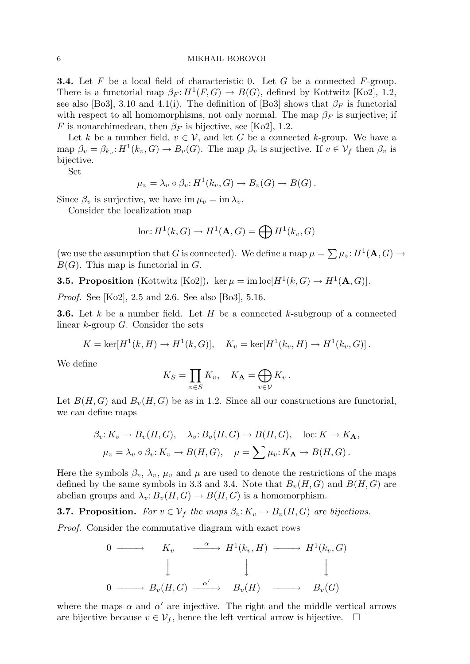#### 6 MIKHAIL BOROVOI

**3.4.** Let F be a local field of characteristic 0. Let G be a connected F-group. There is a functorial map  $\beta_F: H^1(F, G) \to B(G)$ , defined by Kottwitz [Ko2], 1.2, see also [Bo3], 3.10 and 4.1(i). The definition of [Bo3] shows that  $\beta_F$  is functorial with respect to all homomorphisms, not only normal. The map  $\beta_F$  is surjective; if F is nonarchimedean, then  $\beta_F$  is bijective, see [Ko2], 1.2.

Let k be a number field,  $v \in V$ , and let G be a connected k-group. We have a map  $\beta_v = \beta_{k_v} : H^1(k_v, G) \to B_v(G)$ . The map  $\beta_v$  is surjective. If  $v \in V_f$  then  $\beta_v$  is bijective.

Set

$$
\mu_v = \lambda_v \circ \beta_v : H^1(k_v, G) \to B_v(G) \to B(G) .
$$

Since  $\beta_v$  is surjective, we have im  $\mu_v = \text{im } \lambda_v$ .

Consider the localization map

$$
\text{loc: } H^1(k, G) \to H^1(\mathbf{A}, G) = \bigoplus H^1(k_v, G)
$$

(we use the assumption that G is connected). We define a map  $\mu = \sum \mu_v : H^1(\mathbf{A}, G) \to$  $B(G)$ . This map is functorial in G.

**3.5. Proposition** (Kottwitz [Ko2]). ker  $\mu = \text{im}\log[H^1(k, G) \to H^1(\mathbf{A}, G)].$ 

Proof. See [Ko2], 2.5 and 2.6. See also [Bo3], 5.16.

**3.6.** Let k be a number field. Let H be a connected k-subgroup of a connected linear k-group G. Consider the sets

$$
K = \ker[H^{1}(k, H) \to H^{1}(k, G)], \quad K_{v} = \ker[H^{1}(k_{v}, H) \to H^{1}(k_{v}, G)].
$$

We define

$$
K_S = \prod_{v \in S} K_v, \quad K_{\mathbf{A}} = \bigoplus_{v \in V} K_v.
$$

Let  $B(H, G)$  and  $B<sub>v</sub>(H, G)$  be as in 1.2. Since all our constructions are functorial, we can define maps

$$
\beta_v: K_v \to B_v(H, G), \quad \lambda_v: B_v(H, G) \to B(H, G), \quad \text{loc: } K \to K_{\mathbf{A}},
$$

$$
\mu_v = \lambda_v \circ \beta_v: K_v \to B(H, G), \quad \mu = \sum \mu_v: K_{\mathbf{A}} \to B(H, G).
$$

Here the symbols  $\beta_v$ ,  $\lambda_v$ ,  $\mu_v$  and  $\mu$  are used to denote the restrictions of the maps defined by the same symbols in 3.3 and 3.4. Note that  $B_v(H, G)$  and  $B(H, G)$  are abelian groups and  $\lambda_v: B_v(H, G) \to B(H, G)$  is a homomorphism.

**3.7. Proposition.** For  $v \in V_f$  the maps  $\beta_v: K_v \to B_v(H, G)$  are bijections.

Proof. Consider the commutative diagram with exact rows

$$
\begin{array}{ccccccc}\n0 & \longrightarrow & K_v & \xrightarrow{\alpha} & H^1(k_v, H) & \longrightarrow & H^1(k_v, G) \\
\downarrow & & & & & \\
0 & \longrightarrow & B_v(H, G) & \xrightarrow{\alpha'} & B_v(H) & \longrightarrow & B_v(G)\n\end{array}
$$

where the maps  $\alpha$  and  $\alpha'$  are injective. The right and the middle vertical arrows are bijective because  $v \in \mathcal{V}_f$ , hence the left vertical arrow is bijective.  $\Box$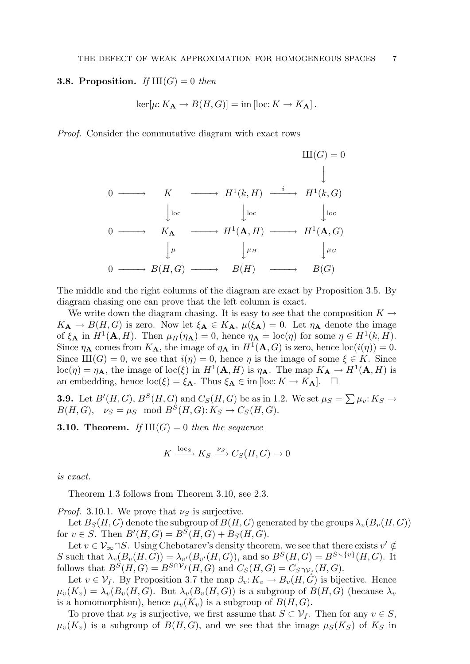### **3.8. Proposition.** If  $III(G) = 0$  then

$$
\ker[\mu:K_{\mathbf{A}} \to B(H,G)] = \text{im} [\text{loc}:K \to K_{\mathbf{A}}].
$$

Proof. Consider the commutative diagram with exact rows

$$
0 \longrightarrow K \longrightarrow H^{1}(k, H) \xrightarrow{i} H^{1}(k, G)
$$
  
\n
$$
\downarrow
$$
  
\n
$$
0 \longrightarrow K_{\mathbf{A}} \longrightarrow H^{1}(\mathbf{A}, H) \longrightarrow H^{1}(\mathbf{A}, G)
$$
  
\n
$$
\downarrow
$$
  
\n
$$
0 \longrightarrow K_{\mathbf{A}} \longrightarrow H^{1}(\mathbf{A}, H) \longrightarrow H^{1}(\mathbf{A}, G)
$$
  
\n
$$
\downarrow
$$
  
\n
$$
0 \longrightarrow B(H, G) \longrightarrow B(H) \longrightarrow B(G)
$$

The middle and the right columns of the diagram are exact by Proposition 3.5. By diagram chasing one can prove that the left column is exact.

We write down the diagram chasing. It is easy to see that the composition  $K \rightarrow$  $K_{\mathbf{A}} \to B(H, G)$  is zero. Now let  $\xi_{\mathbf{A}} \in K_{\mathbf{A}}, \mu(\xi_{\mathbf{A}}) = 0$ . Let  $\eta_{\mathbf{A}}$  denote the image of  $\xi_{\mathbf{A}}$  in  $H^1(\mathbf{A}, H)$ . Then  $\mu_H(\eta_{\mathbf{A}}) = 0$ , hence  $\eta_{\mathbf{A}} = \text{loc}(\eta)$  for some  $\eta \in H^1(k, H)$ . Since  $\eta_A$  comes from  $K_A$ , the image of  $\eta_A$  in  $H^1(A, G)$  is zero, hence  $\text{loc}(i(\eta)) = 0$ . Since  $III(G) = 0$ , we see that  $i(\eta) = 0$ , hence  $\eta$  is the image of some  $\xi \in K$ . Since  $\mathrm{loc}(\eta) = \eta_{\mathbf{A}},$  the image of  $\mathrm{loc}(\xi)$  in  $H^1(\mathbf{A}, H)$  is  $\eta_{\mathbf{A}}$ . The map  $K_{\mathbf{A}} \to H^1(\mathbf{A}, H)$  is an embedding, hence  $\text{loc}(\xi) = \xi_{\mathbf{A}}$ . Thus  $\xi_{\mathbf{A}} \in \text{im} [\text{loc}: K \to K_{\mathbf{A}}]$ .  $\square$ 

**3.9.** Let  $B'(H, G)$ ,  $B^S(H, G)$  and  $C_S(H, G)$  be as in 1.2. We set  $\mu_S = \sum \mu_v : K_S \to$  $B(H, G), \nu_S = \mu_S \mod B^S(H, G): K_S \to C_S(H, G).$ 

**3.10. Theorem.** If  $III(G) = 0$  then the sequence

$$
K \xrightarrow{\log_{S}} K_S \xrightarrow{\nu_S} C_S(H, G) \to 0
$$

is exact.

Theorem 1.3 follows from Theorem 3.10, see 2.3.

*Proof.* 3.10.1. We prove that  $\nu_S$  is surjective.

Let  $B_S(H, G)$  denote the subgroup of  $B(H, G)$  generated by the groups  $\lambda_v(B_v(H, G))$ for  $v \in S$ . Then  $B'(H, G) = B^{S}(H, G) + B_{S}(H, G)$ .

Let  $v \in V_\infty \cap S$ . Using Chebotarev's density theorem, we see that there exists  $v' \notin$ S such that  $\lambda_v(B_v(H, G)) = \lambda_{v'}(B_{v'}(H, G))$ , and so  $B^S(H, G) = B^{S \setminus \{v\}}(H, G)$ . It follows that  $B^S(H, G) = B^{S \cap \mathcal{V}_f}(H, G)$  and  $C_S(H, G) = C_{S \cap \mathcal{V}_f}(H, G)$ .

Let  $v \in \mathcal{V}_f$ . By Proposition 3.7 the map  $\beta_v: K_v \to B_v(H, G)$  is bijective. Hence  $\mu_v(K_v) = \lambda_v(B_v(H, G))$ . But  $\lambda_v(B_v(H, G))$  is a subgroup of  $B(H, G)$  (because  $\lambda_v$ ) is a homomorphism), hence  $\mu_v(K_v)$  is a subgroup of  $B(H, G)$ .

To prove that  $\nu_S$  is surjective, we first assume that  $S \subset \mathcal{V}_f$ . Then for any  $v \in S$ ,  $\mu_v(K_v)$  is a subgroup of  $B(H, G)$ , and we see that the image  $\mu_S(K_S)$  of  $K_S$  in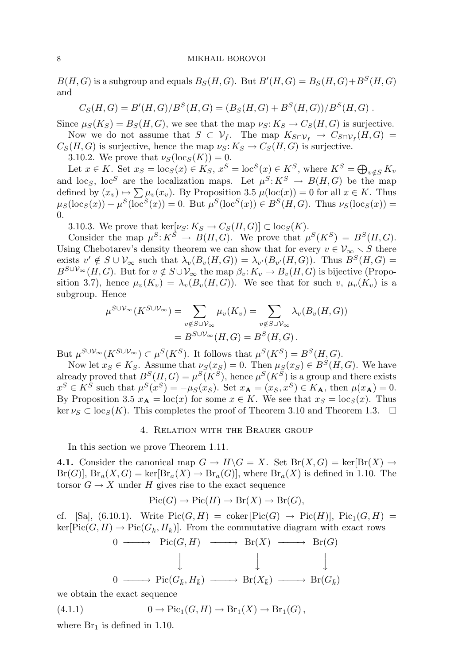$B(H, G)$  is a subgroup and equals  $B_S(H, G)$ . But  $B'(H, G) = B_S(H, G) + B^S(H, G)$ and

$$
C_S(H, G) = B'(H, G)/B^S(H, G) = (B_S(H, G) + B^S(H, G))/B^S(H, G).
$$

Since  $\mu_S(K_S) = B_S(H, G)$ , we see that the map  $\nu_S: K_S \to C_S(H, G)$  is surjective. Now we do not assume that  $S \subset \mathcal{V}_f$ . The map  $K_{S \cap \mathcal{V}_f} \to C_{S \cap \mathcal{V}_f}(H, G)$ 

 $C_S(H, G)$  is surjective, hence the map  $\nu_S: K_S \to C_S(H, G)$  is surjective.

3.10.2. We prove that  $\nu_S(\text{loc}_S(K)) = 0$ .

Let  $x \in K$ . Set  $x_S = \log(x) \in K_S$ ,  $x^S = \log^S(x) \in K^S$ , where  $K^S = \bigoplus_{v \notin S} K_v$ and loc<sub>S</sub>, loc<sup>S</sup> are the localization maps. Let  $\mu^S: K^S \to B(H, G)$  be the map defined by  $(x_v) \mapsto \sum \mu_v(x_v)$ . By Proposition 3.5  $\mu(\text{loc}(x)) = 0$  for all  $x \in K$ . Thus  $\mu_S(\text{loc}_S(x)) + \mu^S(\text{loc}^S(x)) = 0.$  But  $\mu^S(\text{loc}^S(x)) \in B^S(H, G)$ . Thus  $\nu_S(\text{loc}_S(x)) =$ 0.

3.10.3. We prove that ker[ $\nu_S: K_S \to C_S(H, G)$ ]  $\subset \text{loc}_S(K)$ .

Consider the map  $\mu^S: K^S \to B(H, G)$ . We prove that  $\mu^S(K^S) = B^S(H, G)$ . Using Chebotarev's density theorem we can show that for every  $v \in V_{\infty} \setminus S$  there exists  $v' \notin S \cup V_\infty$  such that  $\lambda_v(B_v(H, G)) = \lambda_{v'}(B_{v'}(H, G))$ . Thus  $B^S(H, G) =$  $B^{S\cup V_\infty}(H,G)$ . But for  $v \notin S\cup V_\infty$  the map  $\beta_v: K_v \to B_v(H,G)$  is bijective (Proposition 3.7), hence  $\mu_v(K_v) = \lambda_v(B_v(H, G))$ . We see that for such v,  $\mu_v(K_v)$  is a subgroup. Hence

$$
\mu^{S \cup \mathcal{V}_{\infty}}(K^{S \cup \mathcal{V}_{\infty}}) = \sum_{v \notin S \cup \mathcal{V}_{\infty}} \mu_v(K_v) = \sum_{v \notin S \cup \mathcal{V}_{\infty}} \lambda_v(B_v(H, G))
$$
  
=  $B^{S \cup \mathcal{V}_{\infty}}(H, G) = B^S(H, G).$ 

But  $\mu^{S \cup \mathcal{V}_{\infty}}(K^{S \cup \mathcal{V}_{\infty}}) \subset \mu^{S}(K^{S}).$  It follows that  $\mu^{S}(K^{S}) = B^{S}(H, G).$ 

Now let  $x_S \in K_S$ . Assume that  $\nu_S(x_S) = 0$ . Then  $\mu_S(x_S) \in B^S(H, G)$ . We have already proved that  $B^S(H, G) = \mu^S(K^S)$ , hence  $\mu^S(K^S)$  is a group and there exists  $x^S \in K^S$  such that  $\mu^S(x^S) = -\mu_S(x_S)$ . Set  $x_A = (x_S, x^S) \in K_A$ , then  $\mu(x_A) = 0$ . By Proposition 3.5  $x_A = \text{loc}(x)$  for some  $x \in K$ . We see that  $x_S = \text{loc}_S(x)$ . Thus ker  $\nu_S \subset \text{loc}_S(K)$ . This completes the proof of Theorem 3.10 and Theorem 1.3.  $\Box$ 

## 4. Relation with the Brauer group

In this section we prove Theorem 1.11.

4.1. Consider the canonical map  $G \to H\backslash G = X$ . Set  $Br(X, G) = \text{ker}Br(X) \to$  $Br(G)$ ,  $Br_a(X, G) = \text{ker}[\text{Br}_a(X) \to \text{Br}_a(G)]$ , where  $\text{Br}_a(X)$  is defined in 1.10. The torsor  $G \to X$  under H gives rise to the exact sequence

$$
Pic(G) \to Pic(H) \to Br(X) \to Br(G),
$$

cf. [Sa], (6.10.1). Write  $Pic(G, H) = coker [Pic(G) \rightarrow Pic(H)]$ ,  $Pic_1(G, H) =$  $\ker[\text{Pic}(G, H) \to \text{Pic}(G_{\bar{k}}, H_{\bar{k}})]$ . From the commutative diagram with exact rows

$$
\begin{array}{cccc}\n0 & \longrightarrow & \text{Pic}(G, H) & \longrightarrow & \text{Br}(X) & \longrightarrow & \text{Br}(G) \\
\downarrow & & \downarrow & & \downarrow & \\
0 & \longrightarrow & \text{Pic}(G_{\bar{k}}, H_{\bar{k}}) & \longrightarrow & \text{Br}(X_{\bar{k}}) & \longrightarrow & \text{Br}(G_{\bar{k}})\n\end{array}
$$

we obtain the exact sequence

(4.1.1) 
$$
0 \to Pic_1(G, H) \to Br_1(X) \to Br_1(G),
$$

where  $Br<sub>1</sub>$  is defined in 1.10.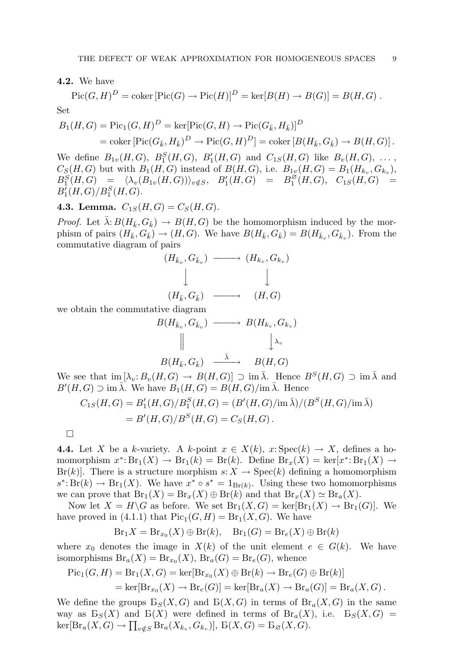4.2. We have

$$
Pic(G, H)^D = \text{coker} [Pic(G) \to Pic(H)]^D = \text{ker}[B(H) \to B(G)] = B(H, G) .
$$
  
Set

$$
B_1(H, G) = \text{Pic}_1(G, H)^D = \text{ker}[\text{Pic}(G, H) \to \text{Pic}(G_{\bar{k}}, H_{\bar{k}})]^D
$$
  
= coker  $[\text{Pic}(G_{\bar{k}}, H_{\bar{k}})^D \to \text{Pic}(G, H)^D] = \text{coker }[B(H_{\bar{k}}, G_{\bar{k}}) \to B(H, G)].$ 

We define  $B_{1v}(H, G)$ ,  $B_1^S(H, G)$ ,  $B_1'(H, G)$  and  $C_{1S}(H, G)$  like  $B_v(H, G)$ , ...,  $C_S(H, G)$  but with  $B_1(H, G)$  instead of  $B(H, G)$ , i.e.  $B_{1v}(H, G) = B_1(H_{k_v}, G_{k_v}),$  $\begin{array}{rclcrcl} B^S_1(H,G) & = & \langle \lambda_v(\stackrel{\rightharpoonup}{B_{1v}}(H,G)) \rangle_{v \notin S}, & B'_1(H,G) & = & B^{\not\!\!\partial}_1 \end{array}$  $C_{1S}(H,G), C_{1S}(H,G) =$  $B_1'(H,G)/B_1^S(H,G).$ 

## 4.3. Lemma.  $C_{1S}(H, G) = C_S(H, G)$ .

*Proof.* Let  $\bar{\lambda}: B(H_{\bar{k}}, G_{\bar{k}}) \to B(H, G)$  be the homomorphism induced by the morphism of pairs  $(H_{\bar{k}}, G_{\bar{k}}) \to (H, G)$ . We have  $B(H_{\bar{k}}, G_{\bar{k}}) = B(H_{\bar{k}_v}, G_{\bar{k}_v})$ . From the commutative diagram of pairs

$$
(H_{\bar{k}_v}, G_{\bar{k}_v}) \longrightarrow (H_{k_v}, G_{k_v})
$$
  
\n
$$
\downarrow \qquad \qquad \downarrow
$$
  
\n
$$
(H_{\bar{k}}, G_{\bar{k}}) \longrightarrow (H, G)
$$

we obtain the commutative diagram

$$
B(H_{\bar{k}_v}, G_{\bar{k}_v}) \longrightarrow B(H_{k_v}, G_{k_v})
$$
  
\n
$$
\parallel \qquad \qquad \downarrow \lambda_v
$$
  
\n
$$
B(H_{\bar{k}}, G_{\bar{k}}) \longrightarrow B(H, G)
$$

We see that  $\text{im} \left[ \lambda_n : B_n(H, G) \to B(H, G) \right] \supset \text{im } \overline{\lambda}$ . Hence  $B^S(H, G) \supset \text{im } \overline{\lambda}$  and  $B'(H, G) \supset \text{im } \overline{\lambda}$ . We have  $B_1(H, G) = B(H, G)/\text{im } \overline{\lambda}$ . Hence

$$
C_{1S}(H,G) = B'_{1}(H,G)/B_{1}^{S}(H,G) = (B'(H,G)/\text{im }\bar{\lambda})/(B^{S}(H,G)/\text{im }\bar{\lambda})
$$
  
= B'(H,G)/B^{S}(H,G) = C\_{S}(H,G).

**4.4.** Let X be a k-variety. A k-point  $x \in X(k)$ ,  $x: \text{Spec}(k) \to X$ , defines a homomorphism  $x^* \text{: } Br_1(X) \to Br_1(k) = Br(k)$ . Define  $Br_x(X) = \text{ker}[x^* \text{: } Br_1(X) \to$  $Br(k)$ . There is a structure morphism  $s: X \to \text{Spec}(k)$  defining a homomorphism  $s^*$ : Br(k)  $\to$  Br<sub>1</sub>(X). We have  $x^* \circ s^* = 1_{Br(k)}$ . Using these two homomorphisms we can prove that  $Br_1(X) = Br_x(X) \oplus Br(k)$  and that  $Br_x(X) \simeq Br_a(X)$ .

Now let  $X = H\backslash G$  as before. We set  $Br_1(X, G) = \text{ker}[\text{Br}_1(X) \to Br_1(G)]$ . We have proved in (4.1.1) that  $Pic_1(G, H) = Br_1(X, G)$ . We have

$$
Br_1X = Br_{x_0}(X) \oplus Br(k), \quad Br_1(G) = Br_e(X) \oplus Br(k)
$$

where  $x_0$  denotes the image in  $X(k)$  of the unit element  $e \in G(k)$ . We have isomorphisms  $\text{Br}_a(X) = \text{Br}_{x_0}(X)$ ,  $\text{Br}_a(G) = \text{Br}_e(G)$ , whence

$$
\begin{aligned} \operatorname{Pic}_1(G, H) &= \operatorname{Br}_1(X, G) = \ker[\operatorname{Br}_{x_0}(X) \oplus \operatorname{Br}(k) \to \operatorname{Br}_e(G) \oplus \operatorname{Br}(k)] \\ &= \ker[\operatorname{Br}_{x_0}(X) \to \operatorname{Br}_e(G)] = \ker[\operatorname{Br}_a(X) \to \operatorname{Br}_a(G)] = \operatorname{Br}_a(X, G) \,. \end{aligned}
$$

We define the groups  $B_S(X, G)$  and  $B(X, G)$  in terms of  $Br_a(X, G)$  in the same way as  $B_S(X)$  and  $B(X)$  were defined in terms of  $Br_a(X)$ , i.e.  $B_S(X, G) =$  $\ker[\text{Br}_a(X, \hat{G}) \to \prod_{v \notin S} \text{Br}_a(X_{k_v}, G_{k_v})], \ \text{B}(X, G) = \text{B}_{\varnothing}(X, \hat{G}).$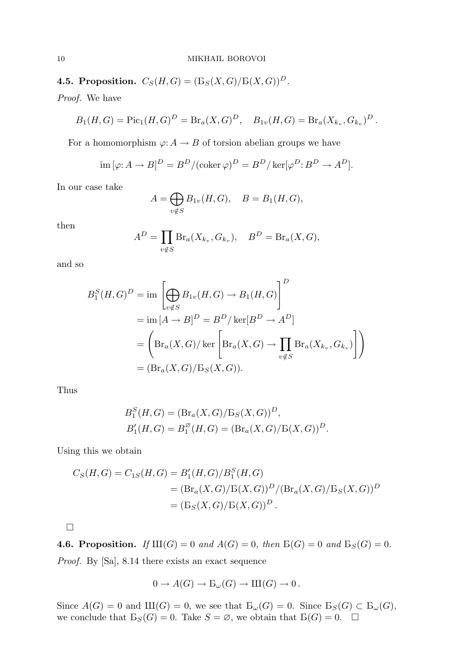4.5. Proposition.  $C_S(H, G) = (\mathcal{B}_S(X, G)/\mathcal{B}(X, G))^D$ .

Proof. We have

$$
B_1(H, G) = \text{Pic}_1(H, G)^D = \text{Br}_a(X, G)^D, \quad B_{1v}(H, G) = \text{Br}_a(X_{k_v}, G_{k_v})^D.
$$

For a homomorphism  $\varphi: A \to B$  of torsion abelian groups we have

$$
\operatorname{im} [\varphi: A \to B]^D = B^D / (\operatorname{coker} \varphi)^D = B^D / \operatorname{ker} [\varphi^D: B^D \to A^D].
$$

In our case take

$$
A = \bigoplus_{v \notin S} B_{1v}(H, G), \quad B = B_1(H, G),
$$

then

$$
A^D = \prod_{v \notin S} \text{Br}_a(X_{k_v}, G_{k_v}), \quad B^D = \text{Br}_a(X, G),
$$

and so

$$
B_1^S(H, G)^D = \text{im}\left[\bigoplus_{v \notin S} B_{1v}(H, G) \to B_1(H, G)\right]^D
$$
  
= 
$$
\text{im}[A \to B]^D = B^D/\ker[B^D \to A^D]
$$
  
= 
$$
\left(\text{Br}_a(X, G)/\ker\left[\text{Br}_a(X, G) \to \prod_{v \notin S} \text{Br}_a(X_{k_v}, G_{k_v})\right]\right)
$$
  
= 
$$
(\text{Br}_a(X, G)/\text{Br}_S(X, G)).
$$

Thus

$$
B_1^S(H, G) = (\text{Br}_a(X, G) / \text{Br}_s(X, G))^D,
$$
  
\n
$$
B_1'(H, G) = B_1^{\emptyset}(H, G) = (\text{Br}_a(X, G) / \text{Br}(X, G))^D.
$$

Using this we obtain

$$
C_S(H, G) = C_{1S}(H, G) = B'_1(H, G)/B_1^S(H, G)
$$
  
=  $(Br_a(X, G)/B(X, G))^D/(Br_a(X, G)/B_S(X, G))^D$   
=  $(B_S(X, G)/B(X, G))^D$ .

 $\Box$ 

**4.6. Proposition.** If  $III(G) = 0$  and  $A(G) = 0$ , then  $B(G) = 0$  and  $B_S(G) = 0$ . Proof. By [Sa], 8.14 there exists an exact sequence

$$
0 \to A(G) \to \mathcal{B}_{\omega}(G) \to \mathrm{III}(G) \to 0.
$$

Since  $A(G) = 0$  and  $III(G) = 0$ , we see that  $B_{\omega}(G) = 0$ . Since  $B_{S}(G) \subset B_{\omega}(G)$ , we conclude that  $B_S(G) = 0$ . Take  $S = \emptyset$ , we obtain that  $B(G) = 0$ .  $\Box$